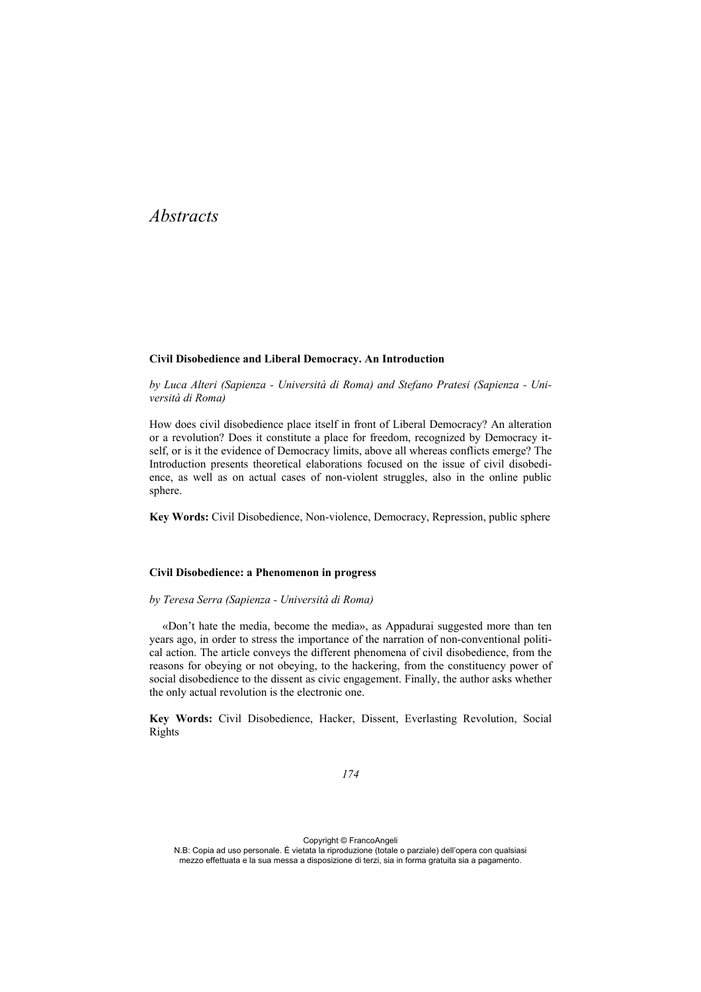# *Abstracts*

#### **Civil Disobedience and Liberal Democracy. An Introduction**

*by Luca Alteri (Sapienza - Università di Roma) and Stefano Pratesi (Sapienza - Università di Roma)* 

How does civil disobedience place itself in front of Liberal Democracy? An alteration or a revolution? Does it constitute a place for freedom, recognized by Democracy itself, or is it the evidence of Democracy limits, above all whereas conflicts emerge? The Introduction presents theoretical elaborations focused on the issue of civil disobedience, as well as on actual cases of non-violent struggles, also in the online public sphere.

**Key Words:** Civil Disobedience, Non-violence, Democracy, Repression, public sphere

#### **Civil Disobedience: a Phenomenon in progress**

#### *by Teresa Serra (Sapienza - Università di Roma)*

«Don't hate the media, become the media», as Appadurai suggested more than ten years ago, in order to stress the importance of the narration of non-conventional political action. The article conveys the different phenomena of civil disobedience, from the reasons for obeying or not obeying, to the hackering, from the constituency power of social disobedience to the dissent as civic engagement. Finally, the author asks whether the only actual revolution is the electronic one.

**Key Words:** Civil Disobedience, Hacker, Dissent, Everlasting Revolution, Social Rights

*174*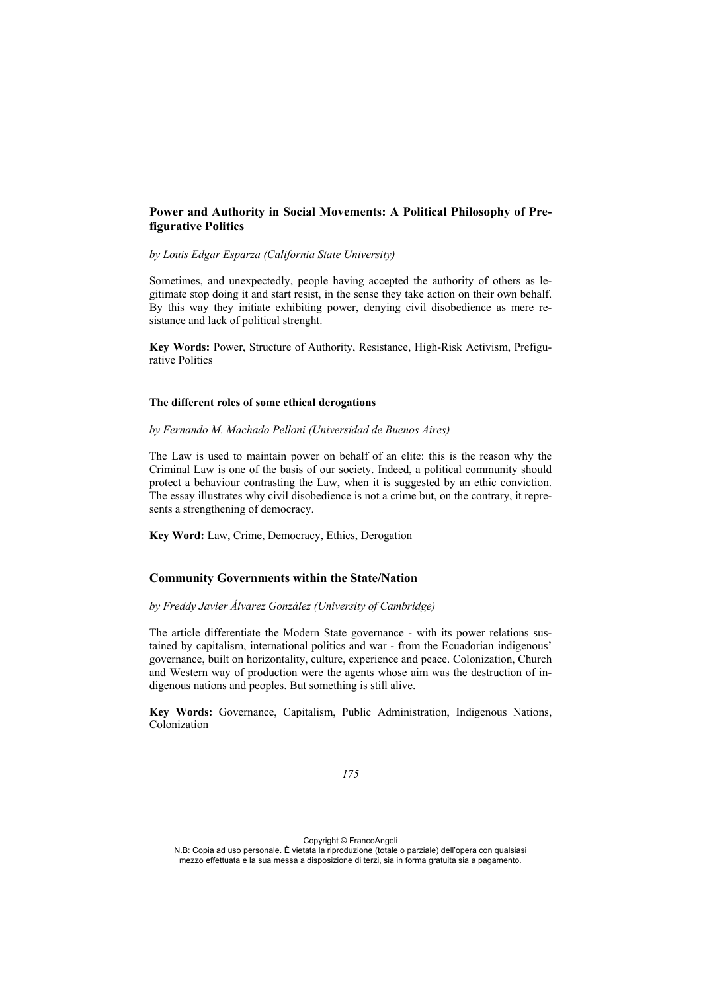# **Power and Authority in Social Movements: A Political Philosophy of Prefigurative Politics**

### *by Louis Edgar Esparza (California State University)*

Sometimes, and unexpectedly, people having accepted the authority of others as legitimate stop doing it and start resist, in the sense they take action on their own behalf. By this way they initiate exhibiting power, denying civil disobedience as mere resistance and lack of political strenght.

**Key Words:** Power, Structure of Authority, Resistance, High-Risk Activism, Prefigurative Politics

#### **The different roles of some ethical derogations**

*by Fernando M. Machado Pelloni (Universidad de Buenos Aires)* 

The Law is used to maintain power on behalf of an elite: this is the reason why the Criminal Law is one of the basis of our society. Indeed, a political community should protect a behaviour contrasting the Law, when it is suggested by an ethic conviction. The essay illustrates why civil disobedience is not a crime but, on the contrary, it represents a strengthening of democracy.

**Key Word:** Law, Crime, Democracy, Ethics, Derogation

# **Community Governments within the State/Nation**

## *by Freddy Javier Álvarez González (University of Cambridge)*

The article differentiate the Modern State governance - with its power relations sustained by capitalism, international politics and war - from the Ecuadorian indigenous' governance, built on horizontality, culture, experience and peace. Colonization, Church and Western way of production were the agents whose aim was the destruction of indigenous nations and peoples. But something is still alive.

**Key Words:** Governance, Capitalism, Public Administration, Indigenous Nations, Colonization